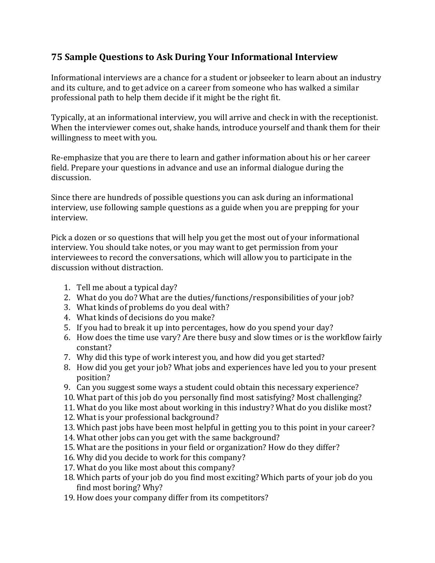## **75 Sample Questions to Ask During Your Informational Interview**

Informational interviews are a chance for a student or jobseeker to learn about an industry and its culture, and to get advice on a career from someone who has walked a similar professional path to help them decide if it might be the right fit.

Typically, at an informational interview, you will arrive and check in with the receptionist. When the interviewer comes out, shake hands, introduce yourself and thank them for their willingness to meet with you.

Re-emphasize that you are there to learn and gather information about his or her career field. Prepare your questions in advance and use an informal dialogue during the discussion.

Since there are hundreds of possible questions you can ask during an informational interview, use following sample questions as a guide when you are prepping for your interview.

Pick a dozen or so questions that will help you get the most out of your informational interview. You should take notes, or you may want to get permission from your interviewees to record the conversations, which will allow you to participate in the discussion without distraction.

- 1. Tell me about a typical day?
- 2. What do you do? What are the duties/functions/responsibilities of your job?
- 3. What kinds of problems do you deal with?
- 4. What kinds of decisions do you make?
- 5. If you had to break it up into percentages, how do you spend your day?
- 6. How does the time use vary? Are there busy and slow times or is the workflow fairly constant?
- 7. Why did this type of work interest you, and how did you get started?
- 8. How did you get your job? What jobs and experiences have led you to your present position?
- 9. Can you suggest some ways a student could obtain this necessary experience?
- 10. What part of this job do you personally find most satisfying? Most challenging?
- 11. What do you like most about working in this industry? What do you dislike most?
- 12. What is your professional background?
- 13. Which past jobs have been most helpful in getting you to this point in your career?
- 14. What other jobs can you get with the same background?
- 15. What are the positions in your field or organization? How do they differ?
- 16. Why did you decide to work for this company?
- 17. What do you like most about this company?
- 18. Which parts of your job do you find most exciting? Which parts of your job do you find most boring? Why?
- 19. How does your company differ from its competitors?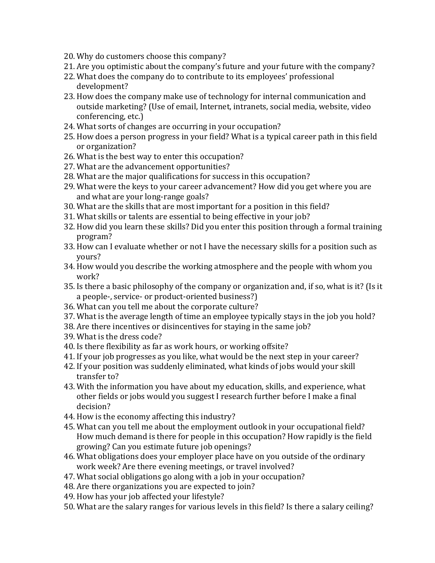- 20. Why do customers choose this company?
- 21. Are you optimistic about the company's future and your future with the company?
- 22. What does the company do to contribute to its employees' professional development?
- 23. How does the company make use of technology for internal communication and outside marketing? (Use of email, Internet, intranets, social media, website, video conferencing, etc.)
- 24. What sorts of changes are occurring in your occupation?
- 25. How does a person progress in your field? What is a typical career path in this field or organization?
- 26. What is the best way to enter this occupation?
- 27. What are the advancement opportunities?
- 28. What are the major qualifications for success in this occupation?
- 29. What were the keys to your career advancement? How did you get where you are and what are your long-range goals?
- 30. What are the skills that are most important for a position in this field?
- 31. What skills or talents are essential to being effective in your job?
- 32. How did you learn these skills? Did you enter this position through a formal training program?
- 33. How can I evaluate whether or not I have the necessary skills for a position such as yours?
- 34. How would you describe the working atmosphere and the people with whom you work?
- 35. Is there a basic philosophy of the company or organization and, if so, what is it? (Is it a people-, service- or product-oriented business?)
- 36. What can you tell me about the corporate culture?
- 37. What is the average length of time an employee typically stays in the job you hold?
- 38. Are there incentives or disincentives for staying in the same job?
- 39. What is the dress code?
- 40. Is there flexibility as far as work hours, or working offsite?
- 41. If your job progresses as you like, what would be the next step in your career?
- 42. If your position was suddenly eliminated, what kinds of jobs would your skill transfer to?
- 43. With the information you have about my education, skills, and experience, what other fields or jobs would you suggest I research further before I make a final decision?
- 44. How is the economy affecting this industry?
- 45. What can you tell me about the employment outlook in your occupational field? How much demand is there for people in this occupation? How rapidly is the field growing? Can you estimate future job openings?
- 46. What obligations does your employer place have on you outside of the ordinary work week? Are there evening meetings, or travel involved?
- 47. What social obligations go along with a job in your occupation?
- 48. Are there organizations you are expected to join?
- 49. How has your job affected your lifestyle?
- 50. What are the salary ranges for various levels in this field? Is there a salary ceiling?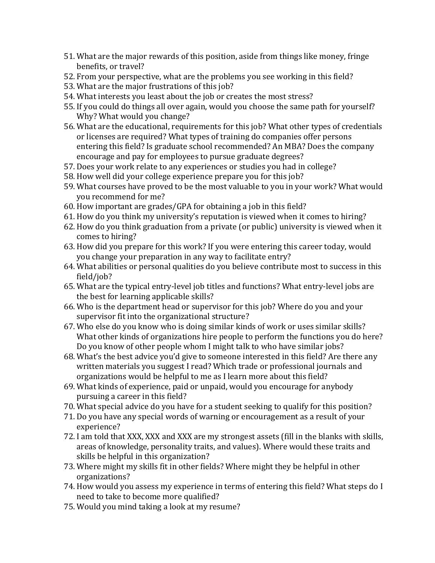- 51. What are the major rewards of this position, aside from things like money, fringe benefits, or travel?
- 52. From your perspective, what are the problems you see working in this field?
- 53. What are the major frustrations of this job?
- 54. What interests you least about the job or creates the most stress?
- 55. If you could do things all over again, would you choose the same path for yourself? Why? What would you change?
- 56. What are the educational, requirements for this job? What other types of credentials or licenses are required? What types of training do companies offer persons entering this field? Is graduate school recommended? An MBA? Does the company encourage and pay for employees to pursue graduate degrees?
- 57. Does your work relate to any experiences or studies you had in college?
- 58. How well did your college experience prepare you for this job?
- 59. What courses have proved to be the most valuable to you in your work? What would you recommend for me?
- 60. How important are grades/GPA for obtaining a job in this field?
- 61. How do you think my university's reputation is viewed when it comes to hiring?
- 62. How do you think graduation from a private (or public) university is viewed when it comes to hiring?
- 63. How did you prepare for this work? If you were entering this career today, would you change your preparation in any way to facilitate entry?
- 64. What abilities or personal qualities do you believe contribute most to success in this field/job?
- 65. What are the typical entry-level job titles and functions? What entry-level jobs are the best for learning applicable skills?
- 66. Who is the department head or supervisor for this job? Where do you and your supervisor fit into the organizational structure?
- 67. Who else do you know who is doing similar kinds of work or uses similar skills? What other kinds of organizations hire people to perform the functions you do here? Do you know of other people whom I might talk to who have similar jobs?
- 68. What's the best advice you'd give to someone interested in this field? Are there any written materials you suggest I read? Which trade or professional journals and organizations would be helpful to me as I learn more about this field?
- 69. What kinds of experience, paid or unpaid, would you encourage for anybody pursuing a career in this field?
- 70. What special advice do you have for a student seeking to qualify for this position?
- 71. Do you have any special words of warning or encouragement as a result of your experience?
- 72. I am told that XXX, XXX and XXX are my strongest assets (fill in the blanks with skills, areas of knowledge, personality traits, and values). Where would these traits and skills be helpful in this organization?
- 73. Where might my skills fit in other fields? Where might they be helpful in other organizations?
- 74. How would you assess my experience in terms of entering this field? What steps do I need to take to become more qualified?
- 75. Would you mind taking a look at my resume?